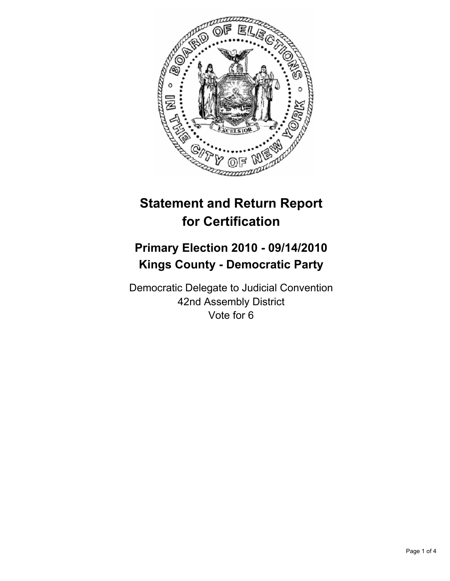

# **Statement and Return Report for Certification**

## **Primary Election 2010 - 09/14/2010 Kings County - Democratic Party**

Democratic Delegate to Judicial Convention 42nd Assembly District Vote for 6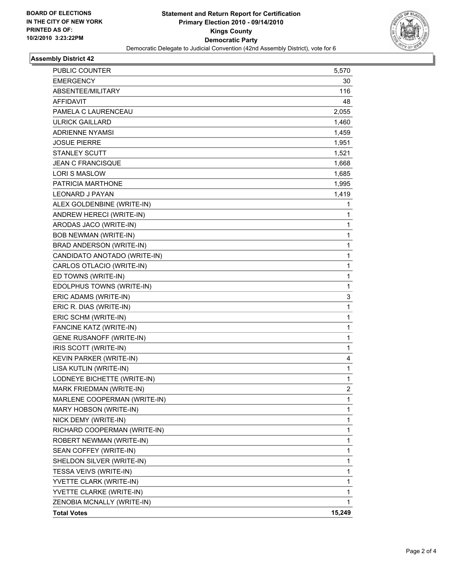

### **Assembly District 42**

|                                 | 1              |
|---------------------------------|----------------|
| ALEX GOLDENBINE (WRITE-IN)      |                |
| ANDREW HERECI (WRITE-IN)        | 1              |
| ARODAS JACO (WRITE-IN)          | 1              |
| <b>BOB NEWMAN (WRITE-IN)</b>    | 1              |
| BRAD ANDERSON (WRITE-IN)        | 1              |
| CANDIDATO ANOTADO (WRITE-IN)    | 1              |
| CARLOS OTLACIO (WRITE-IN)       | 1              |
| ED TOWNS (WRITE-IN)             | 1              |
| EDOLPHUS TOWNS (WRITE-IN)       | 1              |
| ERIC ADAMS (WRITE-IN)           | 3              |
| ERIC R. DIAS (WRITE-IN)         | 1              |
| ERIC SCHM (WRITE-IN)            | 1              |
| FANCINE KATZ (WRITE-IN)         | 1              |
| <b>GENE RUSANOFF (WRITE-IN)</b> | 1              |
| IRIS SCOTT (WRITE-IN)           | 1              |
| KEVIN PARKER (WRITE-IN)         | 4              |
| LISA KUTLIN (WRITE-IN)          | 1              |
| LODNEYE BICHETTE (WRITE-IN)     | 1              |
| MARK FRIEDMAN (WRITE-IN)        | $\overline{2}$ |
| MARLENE COOPERMAN (WRITE-IN)    | 1              |
| MARY HOBSON (WRITE-IN)          | 1              |
| NICK DEMY (WRITE-IN)            | 1              |
| RICHARD COOPERMAN (WRITE-IN)    | 1              |
| ROBERT NEWMAN (WRITE-IN)        | 1              |
| SEAN COFFEY (WRITE-IN)          | 1              |
| SHELDON SILVER (WRITE-IN)       | 1              |
| TESSA VEIVS (WRITE-IN)          | 1              |
| YVETTE CLARK (WRITE-IN)         | 1              |
| YVETTE CLARKE (WRITE-IN)        | 1              |
| ZENOBIA MCNALLY (WRITE-IN)      | 1              |
| <b>Total Votes</b>              | 15,249         |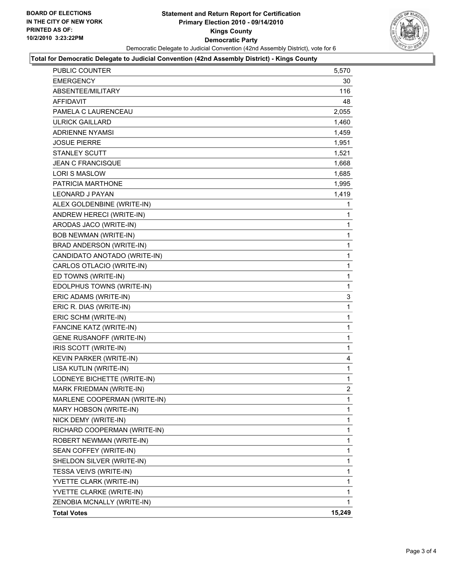

#### **Total for Democratic Delegate to Judicial Convention (42nd Assembly District) - Kings County**

| <b>PUBLIC COUNTER</b>           | 5,570       |
|---------------------------------|-------------|
| <b>EMERGENCY</b>                | 30          |
| ABSENTEE/MILITARY               | 116         |
| <b>AFFIDAVIT</b>                | 48          |
| PAMELA C LAURENCEAU             | 2,055       |
| <b>ULRICK GAILLARD</b>          | 1,460       |
| <b>ADRIENNE NYAMSI</b>          | 1,459       |
| <b>JOSUE PIERRE</b>             | 1,951       |
| <b>STANLEY SCUTT</b>            | 1,521       |
| <b>JEAN C FRANCISQUE</b>        | 1,668       |
| <b>LORI S MASLOW</b>            | 1,685       |
| PATRICIA MARTHONE               | 1,995       |
| <b>LEONARD J PAYAN</b>          | 1,419       |
| ALEX GOLDENBINE (WRITE-IN)      | 1           |
| ANDREW HERECI (WRITE-IN)        | 1           |
| ARODAS JACO (WRITE-IN)          | 1           |
| <b>BOB NEWMAN (WRITE-IN)</b>    | 1           |
| BRAD ANDERSON (WRITE-IN)        | $\mathbf 1$ |
| CANDIDATO ANOTADO (WRITE-IN)    | 1           |
| CARLOS OTLACIO (WRITE-IN)       | 1           |
| ED TOWNS (WRITE-IN)             | 1           |
| EDOLPHUS TOWNS (WRITE-IN)       | 1           |
| ERIC ADAMS (WRITE-IN)           | 3           |
| ERIC R. DIAS (WRITE-IN)         | $\mathbf 1$ |
| ERIC SCHM (WRITE-IN)            | 1           |
| FANCINE KATZ (WRITE-IN)         | 1           |
| <b>GENE RUSANOFF (WRITE-IN)</b> | 1           |
| IRIS SCOTT (WRITE-IN)           | 1           |
| KEVIN PARKER (WRITE-IN)         | 4           |
| LISA KUTLIN (WRITE-IN)          | $\mathbf 1$ |
| LODNEYE BICHETTE (WRITE-IN)     | 1           |
| MARK FRIEDMAN (WRITE-IN)        | 2           |
| MARLENE COOPERMAN (WRITE-IN)    | 1           |
| MARY HOBSON (WRITE-IN)          | 1           |
| NICK DEMY (WRITE-IN)            | 1           |
| RICHARD COOPERMAN (WRITE-IN)    | 1           |
| ROBERT NEWMAN (WRITE-IN)        | 1           |
| SEAN COFFEY (WRITE-IN)          | 1           |
| SHELDON SILVER (WRITE-IN)       | 1           |
| TESSA VEIVS (WRITE-IN)          | 1           |
| YVETTE CLARK (WRITE-IN)         | 1           |
| YVETTE CLARKE (WRITE-IN)        | 1           |
| ZENOBIA MCNALLY (WRITE-IN)      | 1           |
| <b>Total Votes</b>              | 15,249      |